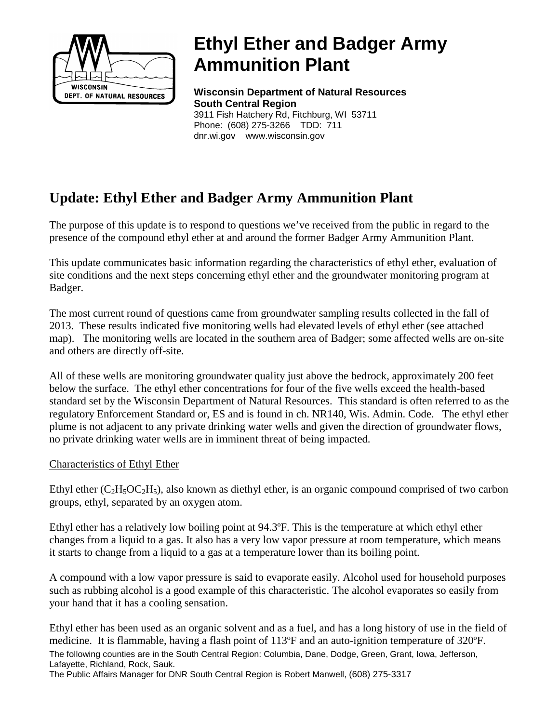

# **Ethyl Ether and Badger Army Ammunition Plant**

**Wisconsin Department of Natural Resources South Central Region** 3911 Fish Hatchery Rd, Fitchburg, WI 53711 Phone: (608) 275-3266 TDD: 711

## **Update: Ethyl Ether and Badger Army Ammunition Plant**

The purpose of this update is to respond to questions we've received from the public in regard to the presence of the compound ethyl ether at and around the former Badger Army Ammunition Plant.

dnr.wi.gov www.wisconsin.gov

This update communicates basic information regarding the characteristics of ethyl ether, evaluation of site conditions and the next steps concerning ethyl ether and the groundwater monitoring program at Badger.

The most current round of questions came from groundwater sampling results collected in the fall of 2013. These results indicated five monitoring wells had elevated levels of ethyl ether (see attached map). The monitoring wells are located in the southern area of Badger; some affected wells are on-site and others are directly off-site.

All of these wells are monitoring groundwater quality just above the bedrock, approximately 200 feet below the surface. The ethyl ether concentrations for four of the five wells exceed the health-based standard set by the Wisconsin Department of Natural Resources. This standard is often referred to as the regulatory Enforcement Standard or, ES and is found in ch. NR140, Wis. Admin. Code. The ethyl ether plume is not adjacent to any private drinking water wells and given the direction of groundwater flows, no private drinking water wells are in imminent threat of being impacted.

#### Characteristics of Ethyl Ether

Ethyl ether  $(C_2H_5OC_2H_5)$ , also known as diethyl ether, is an organic compound comprised of two carbon groups, ethyl, separated by an oxygen atom.

Ethyl ether has a relatively low boiling point at 94.3ºF. This is the temperature at which ethyl ether changes from a liquid to a gas. It also has a very low vapor pressure at room temperature, which means it starts to change from a liquid to a gas at a temperature lower than its boiling point.

A compound with a low vapor pressure is said to evaporate easily. Alcohol used for household purposes such as rubbing alcohol is a good example of this characteristic. The alcohol evaporates so easily from your hand that it has a cooling sensation.

Ethyl ether has been used as an organic solvent and as a fuel, and has a long history of use in the field of medicine. It is flammable, having a flash point of 113ºF and an auto-ignition temperature of 320ºF. The following counties are in the South Central Region: Columbia, Dane, Dodge, Green, Grant, Iowa, Jefferson, Lafayette, Richland, Rock, Sauk.

The Public Affairs Manager for DNR South Central Region is Robert Manwell, (608) 275-3317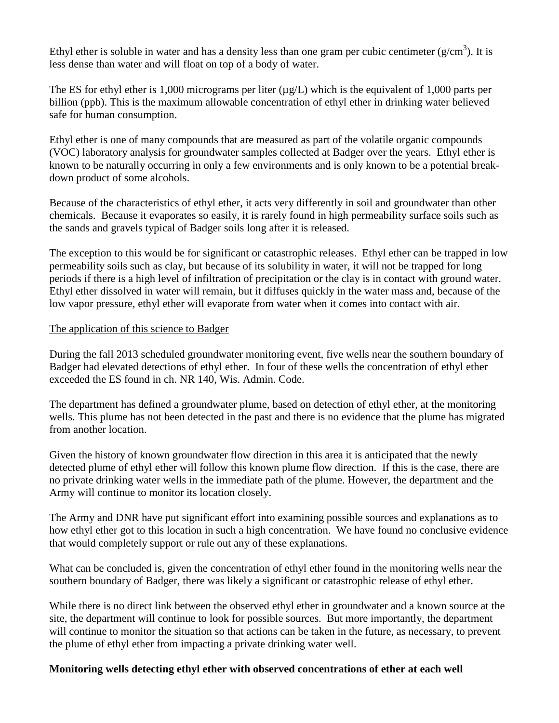Ethyl ether is soluble in water and has a density less than one gram per cubic centimeter ( $g/cm<sup>3</sup>$ ). It is less dense than water and will float on top of a body of water.

The ES for ethyl ether is 1,000 micrograms per liter  $(\mu g/L)$  which is the equivalent of 1,000 parts per billion (ppb). This is the maximum allowable concentration of ethyl ether in drinking water believed safe for human consumption.

Ethyl ether is one of many compounds that are measured as part of the volatile organic compounds (VOC) laboratory analysis for groundwater samples collected at Badger over the years. Ethyl ether is known to be naturally occurring in only a few environments and is only known to be a potential breakdown product of some alcohols.

Because of the characteristics of ethyl ether, it acts very differently in soil and groundwater than other chemicals. Because it evaporates so easily, it is rarely found in high permeability surface soils such as the sands and gravels typical of Badger soils long after it is released.

The exception to this would be for significant or catastrophic releases. Ethyl ether can be trapped in low permeability soils such as clay, but because of its solubility in water, it will not be trapped for long periods if there is a high level of infiltration of precipitation or the clay is in contact with ground water. Ethyl ether dissolved in water will remain, but it diffuses quickly in the water mass and, because of the low vapor pressure, ethyl ether will evaporate from water when it comes into contact with air.

#### The application of this science to Badger

During the fall 2013 scheduled groundwater monitoring event, five wells near the southern boundary of Badger had elevated detections of ethyl ether. In four of these wells the concentration of ethyl ether exceeded the ES found in ch. NR 140, Wis. Admin. Code.

The department has defined a groundwater plume, based on detection of ethyl ether, at the monitoring wells. This plume has not been detected in the past and there is no evidence that the plume has migrated from another location.

Given the history of known groundwater flow direction in this area it is anticipated that the newly detected plume of ethyl ether will follow this known plume flow direction. If this is the case, there are no private drinking water wells in the immediate path of the plume. However, the department and the Army will continue to monitor its location closely.

The Army and DNR have put significant effort into examining possible sources and explanations as to how ethyl ether got to this location in such a high concentration. We have found no conclusive evidence that would completely support or rule out any of these explanations.

What can be concluded is, given the concentration of ethyl ether found in the monitoring wells near the southern boundary of Badger, there was likely a significant or catastrophic release of ethyl ether.

While there is no direct link between the observed ethyl ether in groundwater and a known source at the site, the department will continue to look for possible sources. But more importantly, the department will continue to monitor the situation so that actions can be taken in the future, as necessary, to prevent the plume of ethyl ether from impacting a private drinking water well.

### **Monitoring wells detecting ethyl ether with observed concentrations of ether at each well**